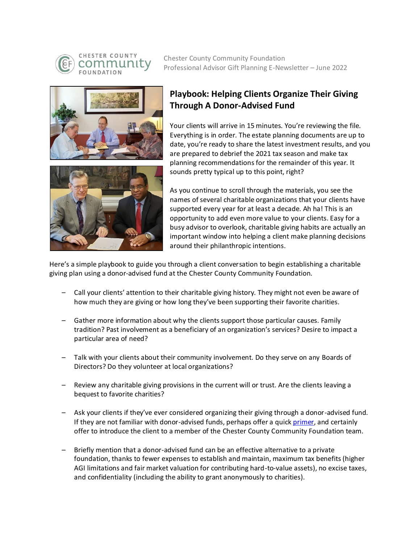

CHESTER COUNTY **OUNDATION** 

Chester County Community Foundation Professional Advisor Gift Planning E-Newsletter – June 2022



## **Playbook: Helping Clients Organize Their Giving Through A Donor-Advised Fund**

Your clients will arrive in 15 minutes. You're reviewing the file. Everything is in order. The estate planning documents are up to date, you're ready to share the latest investment results, and you are prepared to debrief the 2021 tax season and make tax planning recommendations for the remainder of this year. It sounds pretty typical up to this point, right?



As you continue to scroll through the materials, you see the names of several charitable organizations that your clients have supported every year for at least a decade. Ah ha! This is an opportunity to add even more value to your clients. Easy for a busy advisor to overlook, charitable giving habits are actually an important window into helping a client make planning decisions around their philanthropic intentions.

Here's a simple playbook to guide you through a client conversation to begin establishing a charitable giving plan using a donor-advised fund at the Chester County Community Foundation.

- Call your clients' attention to their charitable giving history. They might not even be aware of how much they are giving or how long they've been supporting their favorite charities.
- Gather more information about why the clients support those particular causes. Family tradition? Past involvement as a beneficiary of an organization's services? Desire to impact a particular area of need?
- Talk with your clients about their community involvement. Do they serve on any Boards of Directors? Do they volunteer at local organizations?
- Review any charitable giving provisions in the current will or trust. Are the clients leaving a bequest to favorite charities?
- Ask your clients if they've ever considered organizing their giving through a donor-advised fund. If they are not familiar with donor-advised funds, perhaps offer a quic[k primer,](https://www.forbes.com/sites/svb/2022/05/02/maximize-what-you-give-and-what-you-keep-consider-a-donor-advised-fund/?sh=1837d0914748) and certainly offer to introduce the client to a member of the Chester County Community Foundation team.
- Briefly mention that a donor-advised fund can be an effective alternative to a private foundation, thanks to fewer expenses to establish and maintain, maximum tax benefits (higher AGI limitations and fair market valuation for contributing hard-to-value assets), no excise taxes, and confidentiality (including the ability to grant anonymously to charities).